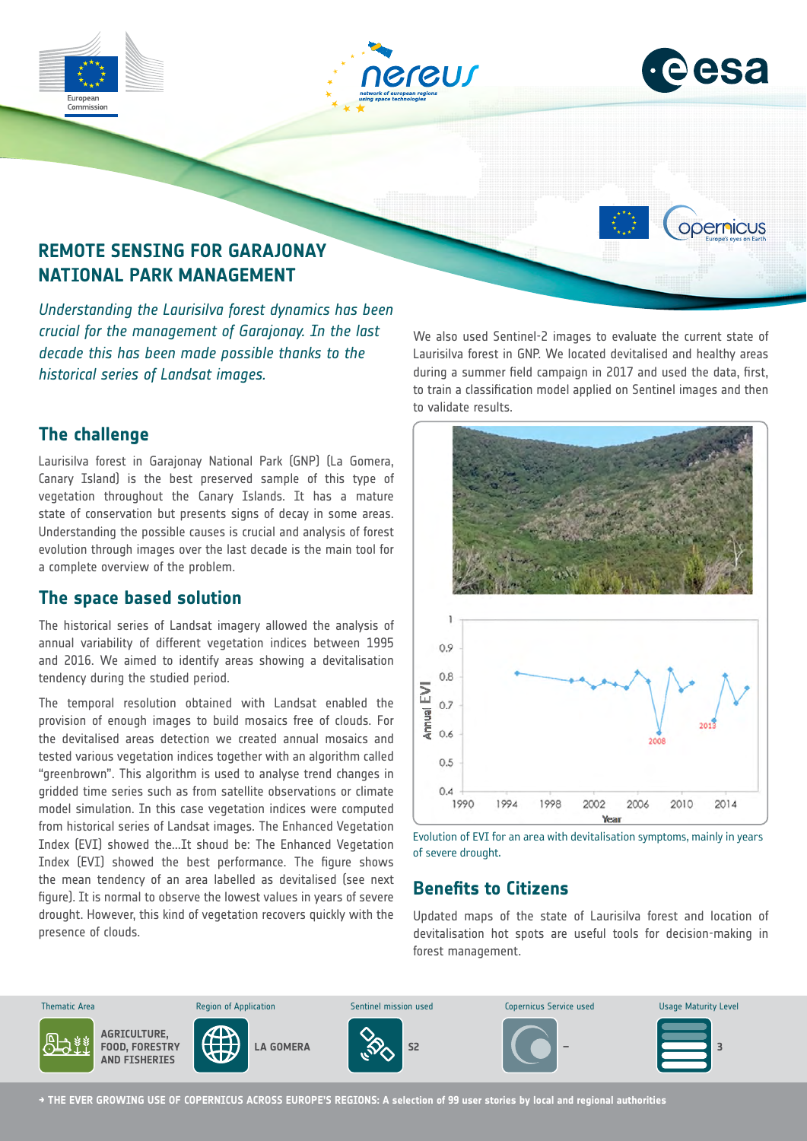





opernicus



*Understanding the Laurisilva forest dynamics has been crucial for the management of Garajonay. In the last decade this has been made possible thanks to the historical series of Landsat images.*

# **The challenge**

Laurisilva forest in Garajonay National Park (GNP) (La Gomera, Canary Island) is the best preserved sample of this type of vegetation throughout the Canary Islands. It has a mature state of conservation but presents signs of decay in some areas. Understanding the possible causes is crucial and analysis of forest evolution through images over the last decade is the main tool for a complete overview of the problem.

# **The space based solution**

The historical series of Landsat imagery allowed the analysis of annual variability of different vegetation indices between 1995 and 2016. We aimed to identify areas showing a devitalisation tendency during the studied period.

The temporal resolution obtained with Landsat enabled the provision of enough images to build mosaics free of clouds. For the devitalised areas detection we created annual mosaics and tested various vegetation indices together with an algorithm called "greenbrown". This algorithm is used to analyse trend changes in gridded time series such as from satellite observations or climate model simulation. In this case vegetation indices were computed from historical series of Landsat images. The Enhanced Vegetation Index (EVI) showed the...It shoud be: The Enhanced Vegetation Index (EVI) showed the best performance. The figure shows the mean tendency of an area labelled as devitalised (see next figure). It is normal to observe the lowest values in years of severe drought. However, this kind of vegetation recovers quickly with the presence of clouds.

We also used Sentinel-2 images to evaluate the current state of Laurisilva forest in GNP. We located devitalised and healthy areas during a summer field campaign in 2017 and used the data, first, to train a classification model applied on Sentinel images and then to validate results.



Evolution of EVI for an area with devitalisation symptoms, mainly in years of severe drought.

# **Benefits to Citizens**

Updated maps of the state of Laurisilva forest and location of devitalisation hot spots are useful tools for decision-making in forest management.



**→ THE EVER GROWING USE OF COPERNICUS ACROSS EUROPE'S REGIONS: A selection of 99 user stories by local and regional authorities**